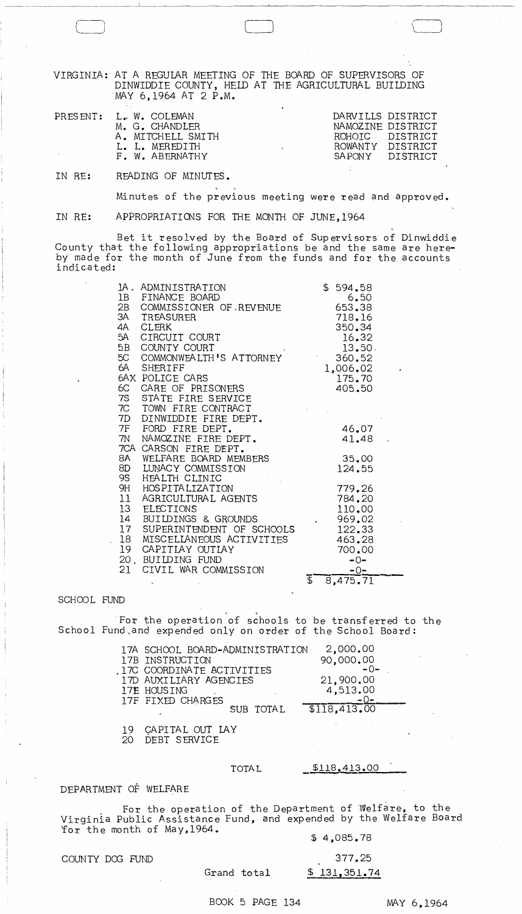VIRGINIA: AT A REGULAR MEETING OF THE BOARD OF SUPERVISORS OF DINWIDDIE COUNTY, HELD AT THE AGRICULTURAL BUILDING MAY 6,1964 AT 2 P.M.

LJ

| PRESENT: L. W. COLEMAN | M. G. CHANDLER<br>A. MITCHELL SMITH | DARVILLS DISTRICT<br>NAMOZINE DISTRICT<br>ROHOTC DISTRICT<br>ROWANTY DISTRICT |                 |
|------------------------|-------------------------------------|-------------------------------------------------------------------------------|-----------------|
|                        | L. L. MEREDITH                      |                                                                               |                 |
|                        | F. W. ABERNATHY                     |                                                                               | SAPONY DISTRICT |

IN RE: RFADING OF MINUTES.

Minutes of the previous meeting were read and approved.

IN RE: APPROPRIATIONS FOR THE MONTH OF JUNE, 1964

Bet it resolved by the Board of Supervisors of Dinwiddie County that the following appropriations be and the same are hereby made for the month of June from the funds and for the accounts indicated:

| 5A<br>5B | 1A. ADMINISTRATION<br>1B FINANCE BOARD<br>2B COMMISSIONER OF REVENUE<br>3A TREASURER<br>4A CLERK<br>CIRCUIT COURT<br>COUNTY COURT<br>5C COMMONWEALTH'S ATTORNEY<br>6A SHERIFF |                        | \$594.58<br>6,50<br>653.38<br>718.16<br>350.34<br>16.32<br>13.50.<br>360.52<br>1,006.02 |  |
|----------|-------------------------------------------------------------------------------------------------------------------------------------------------------------------------------|------------------------|-----------------------------------------------------------------------------------------|--|
|          | 6AX POLICE CARS                                                                                                                                                               |                        | 175.70                                                                                  |  |
|          | 6C CARE OF PRISONERS                                                                                                                                                          |                        | 405.50                                                                                  |  |
|          | 7S STATE FIRE SERVICE                                                                                                                                                         |                        |                                                                                         |  |
|          | 7C TOWN FIRE CONTRACT                                                                                                                                                         |                        |                                                                                         |  |
|          | 7D DINWIDDIE FIRE DEPT.                                                                                                                                                       |                        |                                                                                         |  |
|          | 7F FORD FIRE DEPT.                                                                                                                                                            |                        | 46.07                                                                                   |  |
|          | 7N NAMOZINE FIRE DEPT.                                                                                                                                                        |                        | 41.48.                                                                                  |  |
|          | 7CA CARSON FIRE DEPT.                                                                                                                                                         |                        |                                                                                         |  |
|          | 8A WELFARE BOARD MEMBERS                                                                                                                                                      |                        | 35.00                                                                                   |  |
|          | 8D LUNACY COMMISSION                                                                                                                                                          |                        | 124.55                                                                                  |  |
|          | 9S HEALTH CLINIC                                                                                                                                                              |                        |                                                                                         |  |
|          | 9H HOSPITALIZATION                                                                                                                                                            |                        | 779.26                                                                                  |  |
|          | 11 AGRICULTURAL AGENTS                                                                                                                                                        |                        | 784,20                                                                                  |  |
|          | 13 ELECTIONS                                                                                                                                                                  |                        | 110.00                                                                                  |  |
|          | 14 BUILDINGS & GROUNDS                                                                                                                                                        | $\epsilon$             | 969.02                                                                                  |  |
|          | 17 SUPERINTENDENT OF SCHOOLS                                                                                                                                                  |                        | 122.33                                                                                  |  |
|          | 18 MISCELLANEOUS ACTIVITIES                                                                                                                                                   |                        | 463.28                                                                                  |  |
| 19       | CAPITIAY OUTIAY                                                                                                                                                               |                        | 700.00                                                                                  |  |
|          | 20, BUILDING FUND                                                                                                                                                             |                        | $-0-$                                                                                   |  |
| 21 -     | CIVIL WAR COMMISSION                                                                                                                                                          |                        | $-0-$                                                                                   |  |
|          | $\epsilon$                                                                                                                                                                    | $\bar{\mathfrak{s}}^-$ | 8,475.71                                                                                |  |

#### SCHOOL FUND

. . For the operation of schools to be transferred to the School Fund.and expended only on order of the School Board:

| 17A SCHOOL BOARD-ADMINISTRATION | 2,000.00    |
|---------------------------------|-------------|
| 17B INSTRUCTION                 | 90,000.00   |
| 17C COORDINATE ACTIVITIES       | -0-         |
| 17D AUXILIARY AGENCIES          | 21,900.00   |
| 17E HOUSING                     | 4,513.00    |
| 17F FIXED CHARGES               |             |
| SUB TOTAL                       | 5118,413,00 |
|                                 |             |

19 CAPITAL OUT LAY

20 DEBT SERVICE

## TOTAL 5118,413.00

## DEPARTMENT OF WELFARE

. For the operation *of* the Department of Welfare, to the Virginia Public Assistance Fund, and expended by the Welfare Board  $\frac{32.12}{\pi}$  and  $\frac{32.12}{\pi}$  and  $\frac{32.12}{\pi}$  and  $\frac{32.12}{\pi}$  and  $\frac{32.12}{\pi}$  and  $\frac{32.12}{\pi}$  and  $\frac{32.12}{\pi}$  and  $\frac{32.12}{\pi}$  and  $\frac{32.12}{\pi}$  and  $\frac{32.12}{\pi}$  and  $\frac{32.12}{\pi}$  and  $\frac{32.12}{\pi$ 

# COUNTY DOG FUND 377.25

# Grand total \$ 131,351.74

BOOK 5 PAGE 134 MAY 6,1964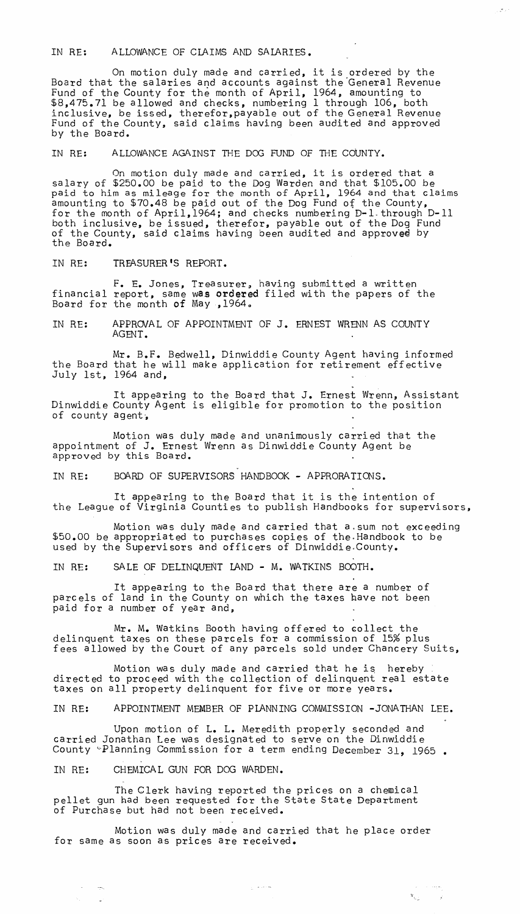IN RE: ALLOWANCE OF ClAIMS AND SAlARIES.

On motion duly made and carried, it is ordered by the Board that the salaries and accounts against the 'General Revenue Fund of the County for the month of April, 1964, amounting to \$8,475.71 be allowed and checks, numbering 1 through 106, both inclusive, be issed, therefor,payable out of the General Revenue Fund of the County, said claims having been audited and approved by the Board.

IN RE: ALLOWANCE AGAINST THE DOG FUND OF THE COUNTY.

On motion duly made and carried, it is ordered that a salary of \$250.00 be paid to the Dog Warden and that \$105.00 be paid to him as mileage for the month of April, 1964 and that claims amounting to \$70.48 be paid out of the Dog Fund of the County, for the month of April,1964j and checks numbering D-l.through D-ll both inclusive, be issued, therefor, payable out of the Dog Fund of the County, said claims having been audited and approved by<br>the Board.

IN RE: TREASURER'S REPORT.

F. E. Jones, Treasurer, having submitted a written financial report, same was ordered filed with the papers of the Board for the month of May , 1964.

IN RE: APPRO/AL OF APPOINTMENT OF J. ERNEST WRENN AS COUNTY AGENT.

Mr. B.F. Bedwell, Dinwiddie County Agent having informed the Board that he will make application for retirement effective July 1st, 1964 and,

It appearing to the Board that J. Ernest Wrenn, Assistant Dinwiddie County Agent is eligible for promotion to the position of county agent,

Motion was duly made and unanimously carried that the appointment of J. Ernest Wrenn as Dinwiddie County Agent be approved by this Board.

IN RE: BOARD OF SUPERVISORS HANDBOOK - APPRORATIONS.

It appearing to the Board that it is the intention of the League of Virginia Counties to publish Handbooks for supervisors,

Motion was duly made and carried that a.sum not exceeding \$50.00 be appropriated to purchases copies of the· Handbook to be used by the Supervisors and officers of Dinwiddie.County.

IN RE: SA LE OF DELINQUENT lAND - M. WATKINS BOOTH.

It appearing to the Board that there are a number of parcels of land in the County on which the taxes have not been paid for a number of year and,

Mr. M. Watkins Booth having offered to collect the delinquent taxes on these parcels for a commission of 15% plus fees allowed by the Court of any parcels sold under Chancery Suits,

Motion was duly made and carried that he is hereby directed to proceed with the collection of delinquent real estate taxes on all property delinquent for five or more years.

IN RE: APPOINTMENT MEMBER OF PlANNING COMMISSION -JONATHAN LEE.

Upon motion of L. L. Meredith properly seconded and carried Jonathan Lee was designated to serve on the Dinwiddie County ~Planning Commission for a term ending December 31, 1965 •

IN RE: CHEMICAL GUN FOR DOG WARDEN.

 $\Delta\varphi_{\rm{max}}=2.5$ 

The Clerk having reported the prices on a chemical pellet gun had been requested for the State State Department of Purchase but had not been received.

Motion was duly made and carried that he place order for same as soon as prices are received.

 $\gamma_{\rm L}$  , where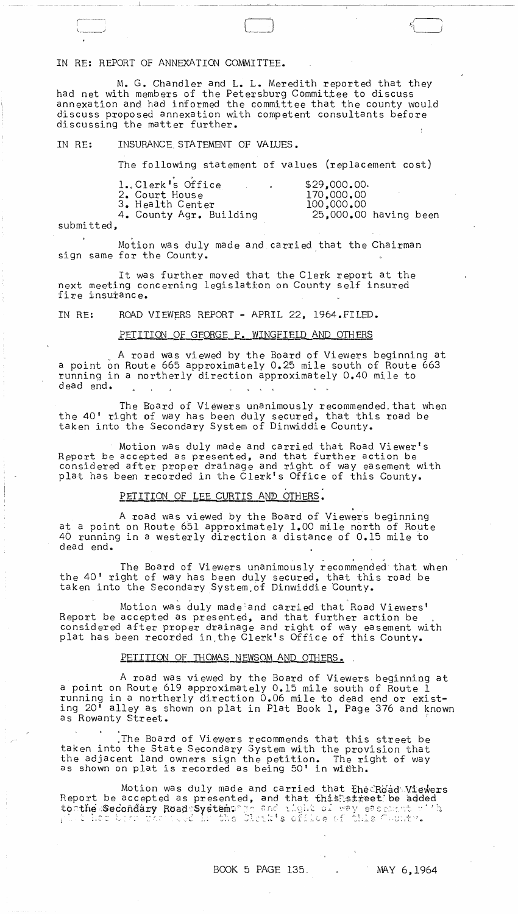### IN RE: REPORT OF ANNEXATION COMMITTEE.

 $\Box$ 

M. G. Chandler and L. L. Meredith reported that they had net with members of the Petersburg Committee to discuss annexation and had informed the committee that the county would discuss proposed annexation with competent consultants before discussing the matter further.

#### IN RE: INSURANCE STATEMENT OF VALUES.

The following statement of values (replacement cost)

| 1. Clerk's Office       | $\bullet$ | \$29,000,00.            |  |
|-------------------------|-----------|-------------------------|--|
| 2. Court House          |           | 170,000,00              |  |
| 3. Health Center        |           | 100,000,00              |  |
| 4. County Agr. Building |           | $25,000,00$ having been |  |

submitted,

 $\begin{array}{c} \overline{\phantom{0}} \\ \overline{\phantom{0}} \\ \overline{\phantom{0}} \end{array}$ 

Motion was duly made and carried that the Chairman sign same for the County.

It was further moved that the Clerk report at the next meeting concerning legislation on County self insured fire insurance.

IN RE: ROAD VIEWERS REPORT - APRIL 22, 1964.FILED.<br>PETITION OF GEORGE P. WINGFIELD AND OTHERS

A road was viewed by the Board of Viewers beginning at a point on Route 665 approximately 0.25 mile south of Route 663 running in a northerly direction approximately 0.40 mile to dead end.  $\mathcal{L}$ 

The Board of Viewers unanimously recommended, that when the 40' right of way has been duly secured, that this road be taken into the Secondary System of Dinwiddie County.

Motion was duly made and carried that Road Viewer's Report be accepted as presented, and that further action be considered after proper drainage and right of way easement with plat has been recorded in the Clerk's Office of this County.

 $\mathbf{c}$  , we have the set of  $\mathbf{d}$ 

,

## PETITION OF LEE CURTIS AND OTHERS.

A road was viewed by the Board of Viewers beginning at a point on Route 651 approximately 1.00 mile north of Route 40 running in a westerly direction a distance of  $0.15$  mile to dead end.

The Board of Viewers unanimously recommended that when the 40' right of way has been duly secured, that this road be taken into the Secondary System of Dinwiddie County.

Motion was duly made:and carried that Road Viewers' Report be accepted as presented, and that further action be considered after proper drainage and right of way easement with plat has been recorded in the Clerk's Office of this County.<br>PETITION OF THOMAS NEWSOM AND OTHERS.

#### PETITION OF THOMAS NEWSOM AND OTHERS.

,

A road was viewed by the Board of Viewers beginning at a point on Route 619 approximately 0.15 mile south of Route 1 running in a northerly direction 0.06 mile to dead end or existing 20' alley as shown on plat in Plat Book 1, Page 376 and known as Rowanty Street.

,The Board of Viewers recommends that this street be taken into the State Secondary System with the provision that the adjacent land owners sign the petition. The right of way as shown on plat is recorded as being 50' in width.

Motion was duly made and carried that the Road Viewers Report be accepted as presented, and that this street; be added to the secondary Road System: To and that this street; be added to the Secondary Road System: To and that this street; be added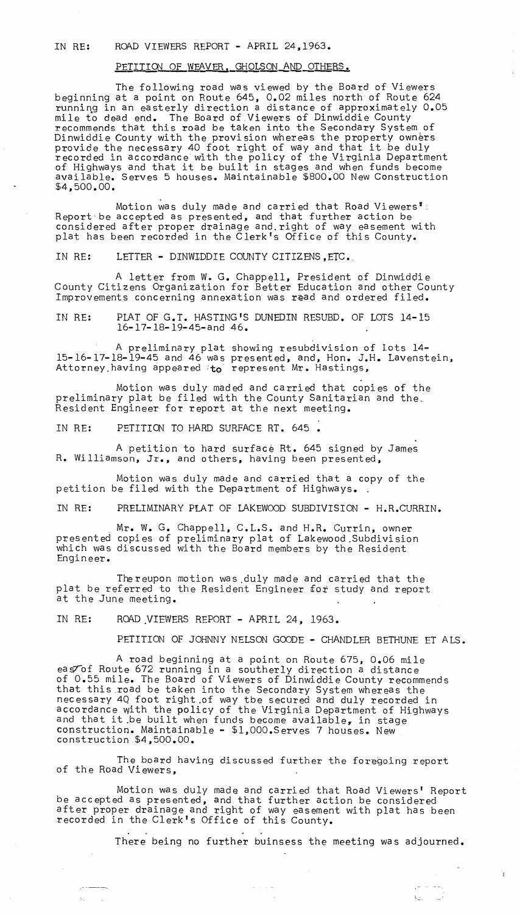### IN RE: ROAD VIEWERS REPORT - APRIL 24,1963.

## PETITION OF WEAVER, GHOLSON AND OTHERS.

The following road was viewed by the Board of Viewers beginning at a point on Route 645, 0.02 miles north of Route 624 running in an easterly direction a distance of approximately 0.05 mile to dead end. The Board of.Viewers of Dinwiddie County recommends that this road be taken into the Secondary System of Dinwiddie County with the provision whereas the property owners<br>provide the necessary 40 foot right of way and that it be duly<br>recorded in accordance with the policy of the Virginia Department recorded in accordance with the poilty of the virginia Department<br>of Highways and that it be built in stages and when funds become available. Serves 5 houses. Maintainable \$800.00 New Construction \$4,500.00.

Motion was duly made and carried that Road Viewers<sup>"</sup> . Report'be accepted as presented, and that further action be considered after proper drainage and. right of way easement with plat has been recorded in the Clerk's Office of this County.

IN RE: LETTER - DINWIDDIE COUNTY CITIZENS, ETC.

A letter from W. G. Chappell, President of Dinwiddie County Citizens Organization for Better Education and other County Improvements concerning annexation was read and ordered filed.

IN RE: PLAT OF G.T. HASTING'S DUNEDIN RESUBD. OF LOTS 14-15 l6-l7-l8-l9-45-and 46.

A preliminary plat showing resubdivision of lots 14- 15-16-17-18-19-45 and 46 was presented, and, Hon. J.H. Lavenstein, Attorney having appeared to represent Mr. Hastings,

Motion was duly maded and carried that copies of the preliminary plat be filed with the County Sanitarian and the. Resident Engineer for report at the next meeting.

IN RE: PETITION TO HARD SURFACE RT. 645 •

A petition to hard surface Rt. 645 signed by James R. Williamson, Jr., and others, having been presented,

Motion was duly made and carried that a copy of the petition be filed with the Department of Highways.

IN RE: PRELIMINARY PLAT OF LAKEWOOD SUBDIVISION - H.R.CURRIN.

Mr. W. G. Chappell, C.L.S. and H.R. Currin, owner presented copies of preliminary plat of Lakewood.Subdivision which was discussed with the Board members by the Resident Engin eer.

The reupon motion was .duly made and carried that the plat be referred to the Resident Engineer for study and report at the June meeting.

IN RE: ROAD VIEWERS REPORT - APRIL 24, 1963.

PETITION OF JOHNNY NELSON GOODE - CHANDLER BETHUNE ET ALS.

A road beginning at a point on Route 675, 0.06 mile eas<sup>tof</sup> Route 672 running in a southerly direction a distance of 0.55 mile. The Board of Viewers of Dinwiddie County recommends that this .road be taken into the Secondary System whereas the necessary 4Q foot right.of way tbe secured and duly recorded in accordance with the policy of the Virginia Department of Highways and that it be built when funds become available, in stage construction. Maintainable - \$l,OOO.Serves 7 houses. New construction \$4,500.00.

The board having discussed further the foregoing report of the Road Viewers,

Motion was duly made and carried that Road Viewers' Report be accepted as presented, and that further action be considered after proper drainage and right of way easement with plat has been recorded in the Clerk's Office of this County.

There being no further buinsess the meeting was adjourned.

 $\mathcal{A}^{\mathcal{A}}$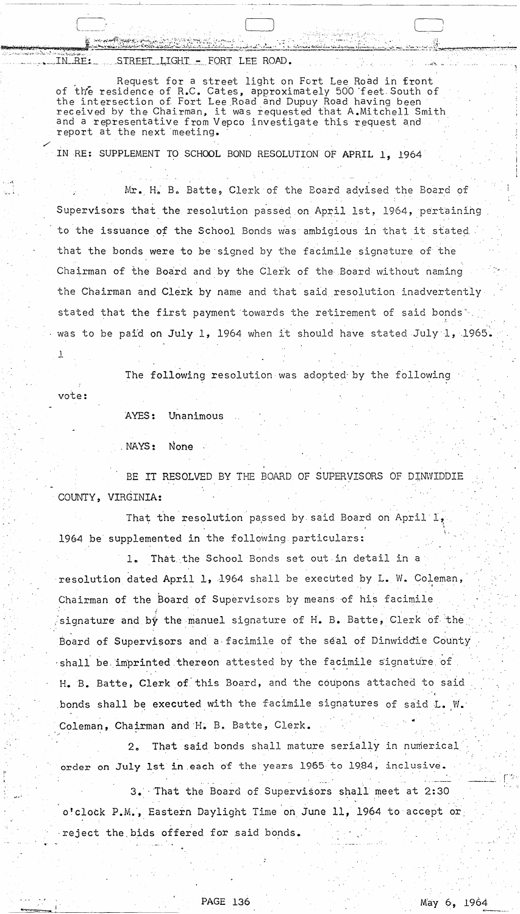IN RE: STREET LIGHT - FORT LEE ROAD.

 $\begin{CD} \begin{pmatrix} 1 & 0 & 0 \\ 0 & 1 & 0 \\ 0 & 0 & 0 \end{pmatrix} = \begin{pmatrix} 1 & 0 & 0 \\ 0 & 1 & 0 \\ 0 & 0 & 0 \end{pmatrix}$ 

Request for a street light on Fort Lee Road in front of the residence of R.C. Cates, approximately 500 feet South of the intersection of Fort Lee Road and Dupuy Road having been received by the Chairman, it was requested that A.Mitchell Smith and a representative from Vepco investigate this request and report at the next meeting.

IN RE: SUPPLEMENT TO SCHOOL BOND RESOLUTION OF APRIL 1, 1964

Mr. H. B. Batte, Clerk of the Board advised the Board of Supervisors that the resolution passed on April 1st, 1964, pertaining to the issuance of the School Bonds was ambigious in that it stated that the bonds were to be'signed by the facimile signature of the Chairman of the Board and by the Clerk of the Board without naming the Chairman and Clerk by name and that said resolution inadvertently stated that the first payment towards the retirement of said bonds<sup>\*</sup> was to be paid <mark>on July 1, 1</mark>964 when it should have stated July 1, 1965.

The following resolution was adopted by the following

vote:

1

 $\left( \begin{array}{ccc} & & \ddots & \end{array} \right)$ 

. ,.--\

AYES: Unanimous

. NAYS: None

BE IT RESOLVED BY THE BOARD OF SUPERVISORS OF DINWIDDIE COUNTY, VIRGINIA:

That the resolution passed by said Board on April  $1$ , 1964 be supplemented in the following particulars:

1. That the School Bonds set out in detail in a resolution dated April 1, 1964 shall be executed by L. W. Coleman, Chairman of the Board of Supervisors by means of his facimile signature and by the manuel signature of H. B. Batte, Clerk of the Board of Supervisors and a facimile of the seal of Dinwiddie County  $\cdot$ shall be imprinted thereon attested by the facimile signature of H.B. Batte, Clerk of'this Board, and the coupons attached to said bonds shall be executed with the facimile signatures of said L. W. Coleman, Chairman and H. B. Batte, Clerk.

2. That said bonds shall mature serially in numerical order on July 1st in each of the years 1965 to 1984, inclusive.

3. That the Board of Supervisors shall meet at 2:30 o'clock P.M., Eastern Daylight Time on June 11, 1964 to accept or ·reject the bids offered for said bonds.

PAGE 136 May 6, 1964 PAGE 136 May 6, 1964

 $\mathfrak{f}^{\text{reg}}$  :